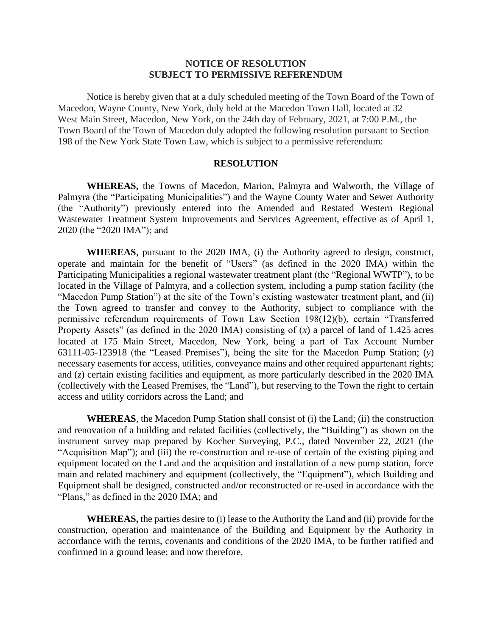## **NOTICE OF RESOLUTION SUBJECT TO PERMISSIVE REFERENDUM**

Notice is hereby given that at a duly scheduled meeting of the Town Board of the Town of Macedon, Wayne County, New York, duly held at the Macedon Town Hall, located at 32 West Main Street, Macedon, New York, on the 24th day of February, 2021, at 7:00 P.M., the Town Board of the Town of Macedon duly adopted the following resolution pursuant to Section 198 of the New York State Town Law, which is subject to a permissive referendum:

## **RESOLUTION**

**WHEREAS,** the Towns of Macedon, Marion, Palmyra and Walworth, the Village of Palmyra (the "Participating Municipalities") and the Wayne County Water and Sewer Authority (the "Authority") previously entered into the Amended and Restated Western Regional Wastewater Treatment System Improvements and Services Agreement, effective as of April 1, 2020 (the "2020 IMA"); and

**WHEREAS**, pursuant to the 2020 IMA, (i) the Authority agreed to design, construct, operate and maintain for the benefit of "Users" (as defined in the 2020 IMA) within the Participating Municipalities a regional wastewater treatment plant (the "Regional WWTP"), to be located in the Village of Palmyra, and a collection system, including a pump station facility (the "Macedon Pump Station") at the site of the Town's existing wastewater treatment plant, and (ii) the Town agreed to transfer and convey to the Authority, subject to compliance with the permissive referendum requirements of Town Law Section 198(12)(b), certain "Transferred Property Assets" (as defined in the 2020 IMA) consisting of  $(x)$  a parcel of land of 1.425 acres located at 175 Main Street, Macedon, New York, being a part of Tax Account Number 63111-05-123918 (the "Leased Premises"), being the site for the Macedon Pump Station; (*y*) necessary easements for access, utilities, conveyance mains and other required appurtenant rights; and (*z*) certain existing facilities and equipment, as more particularly described in the 2020 IMA (collectively with the Leased Premises, the "Land"), but reserving to the Town the right to certain access and utility corridors across the Land; and

**WHEREAS**, the Macedon Pump Station shall consist of (i) the Land; (ii) the construction and renovation of a building and related facilities (collectively, the "Building") as shown on the instrument survey map prepared by Kocher Surveying, P.C., dated November 22, 2021 (the "Acquisition Map"); and (iii) the re-construction and re-use of certain of the existing piping and equipment located on the Land and the acquisition and installation of a new pump station, force main and related machinery and equipment (collectively, the "Equipment"), which Building and Equipment shall be designed, constructed and/or reconstructed or re-used in accordance with the "Plans," as defined in the 2020 IMA; and

**WHEREAS,** the parties desire to (i) lease to the Authority the Land and (ii) provide for the construction, operation and maintenance of the Building and Equipment by the Authority in accordance with the terms, covenants and conditions of the 2020 IMA, to be further ratified and confirmed in a ground lease; and now therefore,